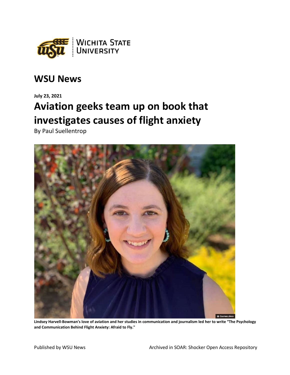

## **WSU News**

## **July 23, 2021 Aviation geeks team up on book that investigates causes of flight anxiety**

By Paul Suellentrop



**Lindsey Harvell-Bowman's love of aviation and her studies in communication and journalism led her to write "The Psychology and Communication Behind Flight Anxiety: Afraid to Fly."**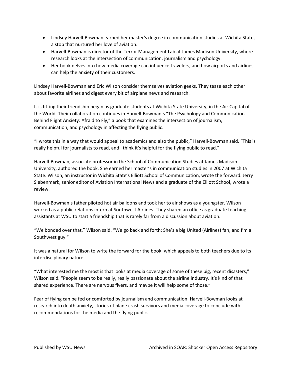- Lindsey Harvell-Bowman earned her master's degree in communication studies at Wichita State, a stop that nurtured her love of aviation.
- Harvell-Bowman is director of the Terror Management Lab at James Madison University, where research looks at the intersection of communication, journalism and psychology.
- Her book delves into how media coverage can influence travelers, and how airports and airlines can help the anxiety of their customers.

Lindsey Harvell-Bowman and Eric Wilson consider themselves aviation geeks. They tease each other about favorite airlines and digest every bit of airplane news and research.

It is fitting their friendship began as graduate students at Wichita State University, in the Air Capital of the World. Their collaboration continues in Harvell-Bowman's "The Psychology and Communication Behind Flight Anxiety: Afraid to Fly," a book that examines the intersection of journalism, communication, and psychology in affecting the flying public.

"I wrote this in a way that would appeal to academics and also the public," Harvell-Bowman said. "This is really helpful for journalists to read, and I think it's helpful for the flying public to read."

Harvell-Bowman, associate professor in the School of Communication Studies at James Madison University, authored the book. She earned her master's in communication studies in 2007 at Wichita State. Wilson, an instructor in Wichita State's Elliott School of Communication, wrote the forward. Jerry Siebenmark, senior editor of Aviation International News and a graduate of the Elliott School, wrote a review.

Harvell-Bowman's father piloted hot air balloons and took her to air shows as a youngster. Wilson worked as a public relations intern at Southwest Airlines. They shared an office as graduate teaching assistants at WSU to start a friendship that is rarely far from a discussion about aviation.

"We bonded over that," Wilson said. "We go back and forth: She's a big United (Airlines) fan, and I'm a Southwest guy."

It was a natural for Wilson to write the forward for the book, which appeals to both teachers due to its interdisciplinary nature.

"What interested me the most is that looks at media coverage of some of these big, recent disasters," Wilson said. "People seem to be really, really passionate about the airline industry. It's kind of that shared experience. There are nervous flyers, and maybe it will help some of those."

Fear of flying can be fed or comforted by journalism and communication. Harvell-Bowman looks at research into death anxiety, stories of plane crash survivors and media coverage to conclude with recommendations for the media and the flying public.